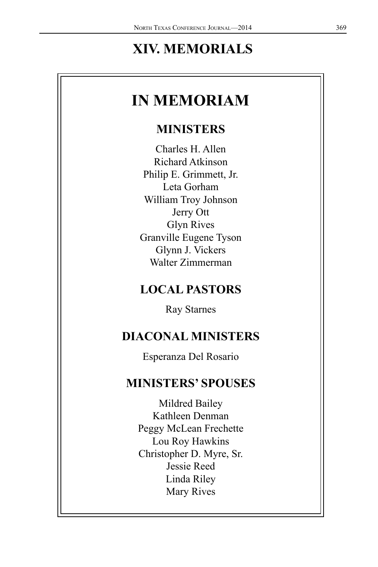# **XIV. MEMORIALS**

# **IN MEMORIAM**

## **MINISTERS**

Charles H. Allen Richard Atkinson Philip E. Grimmett, Jr. Leta Gorham William Troy Johnson Jerry Ott Glyn Rives Granville Eugene Tyson Glynn J. Vickers Walter Zimmerman

## **LOCAL PASTORS**

Ray Starnes

## **DIACONAL MINISTERS**

Esperanza Del Rosario

## **MINISTERS' SPOUSES**

Mildred Bailey Kathleen Denman Peggy McLean Frechette Lou Roy Hawkins Christopher D. Myre, Sr. Jessie Reed Linda Riley Mary Rives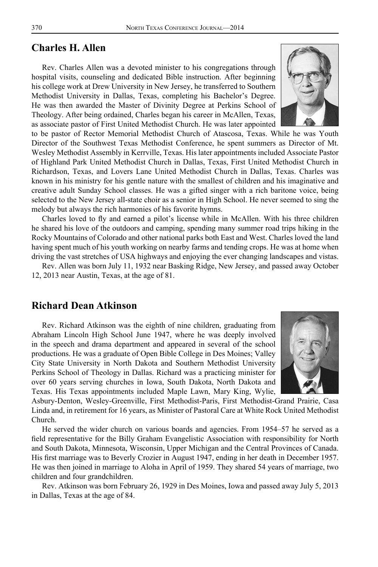#### **Charles H. Allen**

Rev. Charles Allen was a devoted minister to his congregations through hospital visits, counseling and dedicated Bible instruction. After beginning his college work at Drew University in New Jersey, he transferred to Southern Methodist University in Dallas, Texas, completing his Bachelor's Degree. He was then awarded the Master of Divinity Degree at Perkins School of Theology. After being ordained, Charles began his career in McAllen, Texas, as associate pastor of First United Methodist Church. He was later appointed

to be pastor of Rector Memorial Methodist Church of Atascosa, Texas. While he was Youth Director of the Southwest Texas Methodist Conference, he spent summers as Director of Mt. Wesley Methodist Assembly in Kerrville, Texas. His later appointments included Associate Pastor of Highland Park United Methodist Church in Dallas, Texas, First United Methodist Church in Richardson, Texas, and Lovers Lane United Methodist Church in Dallas, Texas. Charles was known in his ministry for his gentle nature with the smallest of children and his imaginative and creative adult Sunday School classes. He was a gifted singer with a rich baritone voice, being selected to the New Jersey all-state choir as a senior in High School. He never seemed to sing the melody but always the rich harmonies of his favorite hymns.

Charles loved to fly and earned a pilot's license while in McAllen. With his three children he shared his love of the outdoors and camping, spending many summer road trips hiking in the Rocky Mountains of Colorado and other national parks both East and West. Charles loved the land having spent much of his youth working on nearby farms and tending crops. He was at home when driving the vast stretches of USA highways and enjoying the ever changing landscapes and vistas.

Rev. Allen was born July 11, 1932 near Basking Ridge, New Jersey, and passed away October 12, 2013 near Austin, Texas, at the age of 81.

#### **Richard Dean Atkinson**

Rev. Richard Atkinson was the eighth of nine children, graduating from Abraham Lincoln High School June 1947, where he was deeply involved in the speech and drama department and appeared in several of the school productions. He was a graduate of Open Bible College in Des Moines; Valley City State University in North Dakota and Southern Methodist University Perkins School of Theology in Dallas. Richard was a practicing minister for over 60 years serving churches in Iowa, South Dakota, North Dakota and Texas. His Texas appointments included Maple Lawn, Mary King, Wylie,

Asbury-Denton, Wesley-Greenville, First Methodist-Paris, First Methodist-Grand Prairie, Casa Linda and, in retirement for 16 years, as Minister of Pastoral Care at White Rock United Methodist Church.

He served the wider church on various boards and agencies. From 1954–57 he served as a field representative for the Billy Graham Evangelistic Association with responsibility for North and South Dakota, Minnesota, Wisconsin, Upper Michigan and the Central Provinces of Canada. His first marriage was to Beverly Crozier in August 1947, ending in her death in December 1957. He was then joined in marriage to Aloha in April of 1959. They shared 54 years of marriage, two children and four grandchildren.

Rev. Atkinson was born February 26, 1929 in Des Moines, Iowa and passed away July 5, 2013 in Dallas, Texas at the age of 84.



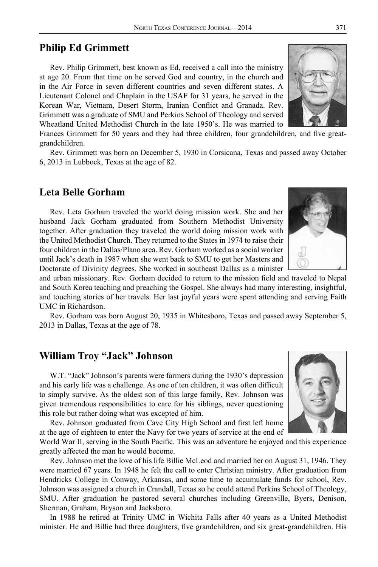### **Philip Ed Grimmett**

Rev. Philip Grimmett, best known as Ed, received a call into the ministry at age 20. From that time on he served God and country, in the church and in the Air Force in seven different countries and seven different states. A Lieutenant Colonel and Chaplain in the USAF for 31 years, he served in the Korean War, Vietnam, Desert Storm, Iranian Conflict and Granada. Rev. Grimmett was a graduate of SMU and Perkins School of Theology and served Wheatland United Methodist Church in the late 1950's. He was married to

Frances Grimmett for 50 years and they had three children, four grandchildren, and five greatgrandchildren.

Rev. Grimmett was born on December 5, 1930 in Corsicana, Texas and passed away October 6, 2013 in Lubbock, Texas at the age of 82.

#### **Leta Belle Gorham**

Rev. Leta Gorham traveled the world doing mission work. She and her husband Jack Gorham graduated from Southern Methodist University together. After graduation they traveled the world doing mission work with the United Methodist Church. They returned to the States in 1974 to raise their four children in the Dallas/Plano area. Rev. Gorham worked as a social worker until Jack's death in 1987 when she went back to SMU to get her Masters and Doctorate of Divinity degrees. She worked in southeast Dallas as a minister

and urban missionary. Rev. Gorham decided to return to the mission field and traveled to Nepal and South Korea teaching and preaching the Gospel. She always had many interesting, insightful, and touching stories of her travels. Her last joyful years were spent attending and serving Faith UMC in Richardson.

Rev. Gorham was born August 20, 1935 in Whitesboro, Texas and passed away September 5, 2013 in Dallas, Texas at the age of 78.

## **William Troy "Jack" Johnson**

W.T. "Jack" Johnson's parents were farmers during the 1930's depression and his early life was a challenge. As one of ten children, it was often difficult to simply survive. As the oldest son of this large family, Rev. Johnson was given tremendous responsibilities to care for his siblings, never questioning this role but rather doing what was excepted of him.

Rev. Johnson graduated from Cave City High School and first left home at the age of eighteen to enter the Navy for two years of service at the end of

World War II, serving in the South Pacific. This was an adventure he enjoyed and this experience greatly affected the man he would become.

Rev. Johnson met the love of his life Billie McLeod and married her on August 31, 1946. They were married 67 years. In 1948 he felt the call to enter Christian ministry. After graduation from Hendricks College in Conway, Arkansas, and some time to accumulate funds for school, Rev. Johnson was assigned a church in Crandall, Texas so he could attend Perkins School of Theology, SMU. After graduation he pastored several churches including Greenville, Byers, Denison, Sherman, Graham, Bryson and Jacksboro.

In 1988 he retired at Trinity UMC in Wichita Falls after 40 years as a United Methodist minister. He and Billie had three daughters, five grandchildren, and six great-grandchildren. His





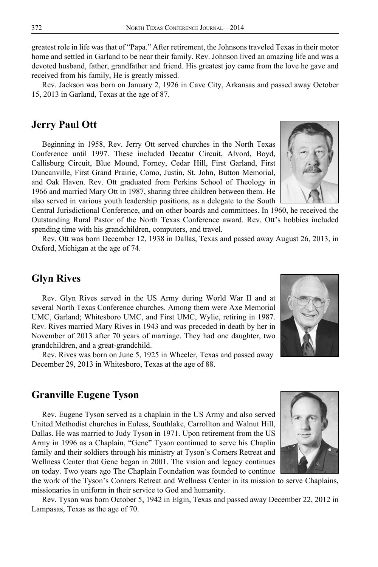greatest role in life was that of "Papa." After retirement, the Johnsons traveled Texas in their motor home and settled in Garland to be near their family. Rev. Johnson lived an amazing life and was a devoted husband, father, grandfather and friend. His greatest joy came from the love he gave and received from his family, He is greatly missed.

Rev. Jackson was born on January 2, 1926 in Cave City, Arkansas and passed away October 15, 2013 in Garland, Texas at the age of 87.

#### **Jerry Paul Ott**

Beginning in 1958, Rev. Jerry Ott served churches in the North Texas Conference until 1997. These included Decatur Circuit, Alvord, Boyd, Callisburg Circuit, Blue Mound, Forney, Cedar Hill, First Garland, First Duncanville, First Grand Prairie, Como, Justin, St. John, Button Memorial, and Oak Haven. Rev. Ott graduated from Perkins School of Theology in 1966 and married Mary Ott in 1987, sharing three children between them. He also served in various youth leadership positions, as a delegate to the South

Central Jurisdictional Conference, and on other boards and committees. In 1960, he received the Outstanding Rural Pastor of the North Texas Conference award. Rev. Ott's hobbies included spending time with his grandchildren, computers, and travel.

Rev. Ott was born December 12, 1938 in Dallas, Texas and passed away August 26, 2013, in Oxford, Michigan at the age of 74.

### **Glyn Rives**

Rev. Glyn Rives served in the US Army during World War II and at several North Texas Conference churches. Among them were Axe Memorial UMC, Garland; Whitesboro UMC, and First UMC, Wylie, retiring in 1987. Rev. Rives married Mary Rives in 1943 and was preceded in death by her in November of 2013 after 70 years of marriage. They had one daughter, two grandchildren, and a great-grandchild.

Rev. Rives was born on June 5, 1925 in Wheeler, Texas and passed away December 29, 2013 in Whitesboro, Texas at the age of 88.

### **Granville Eugene Tyson**

Rev. Eugene Tyson served as a chaplain in the US Army and also served United Methodist churches in Euless, Southlake, Carrollton and Walnut Hill, Dallas. He was married to Judy Tyson in 1971. Upon retirement from the US Army in 1996 as a Chaplain, "Gene" Tyson continued to serve his Chaplin family and their soldiers through his ministry at Tyson's Corners Retreat and Wellness Center that Gene began in 2001. The vision and legacy continues on today. Two years ago The Chaplain Foundation was founded to continue

the work of the Tyson's Corners Retreat and Wellness Center in its mission to serve Chaplains, missionaries in uniform in their service to God and humanity.

Rev. Tyson was born October 5, 1942 in Elgin, Texas and passed away December 22, 2012 in Lampasas, Texas as the age of 70.





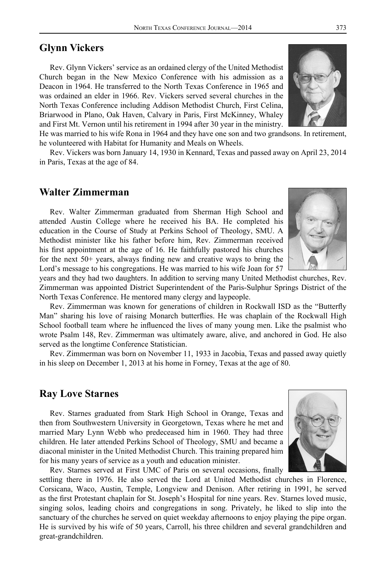## **Glynn Vickers**

Rev. Glynn Vickers' service as an ordained clergy of the United Methodist Church began in the New Mexico Conference with his admission as a Deacon in 1964. He transferred to the North Texas Conference in 1965 and was ordained an elder in 1966. Rev. Vickers served several churches in the North Texas Conference including Addison Methodist Church, First Celina, Briarwood in Plano, Oak Haven, Calvary in Paris, First McKinney, Whaley and First Mt. Vernon until his retirement in 1994 after 30 year in the ministry.

He was married to his wife Rona in 1964 and they have one son and two grandsons. In retirement, he volunteered with Habitat for Humanity and Meals on Wheels.

Rev. Vickers was born January 14, 1930 in Kennard, Texas and passed away on April 23, 2014 in Paris, Texas at the age of 84.

### **Walter Zimmerman**

Rev. Walter Zimmerman graduated from Sherman High School and attended Austin College where he received his BA. He completed his education in the Course of Study at Perkins School of Theology, SMU. A Methodist minister like his father before him, Rev. Zimmerman received his first appointment at the age of 16. He faithfully pastored his churches for the next 50+ years, always finding new and creative ways to bring the Lord's message to his congregations. He was married to his wife Joan for 57

years and they had two daughters. In addition to serving many United Methodist churches, Rev. Zimmerman was appointed District Superintendent of the Paris-Sulphur Springs District of the North Texas Conference. He mentored many clergy and laypeople.

Rev. Zimmerman was known for generations of children in Rockwall ISD as the "Butterfly Man" sharing his love of raising Monarch butterflies. He was chaplain of the Rockwall High School football team where he influenced the lives of many young men. Like the psalmist who wrote Psalm 148, Rev. Zimmerman was ultimately aware, alive, and anchored in God. He also served as the longtime Conference Statistician.

Rev. Zimmerman was born on November 11, 1933 in Jacobia, Texas and passed away quietly in his sleep on December 1, 2013 at his home in Forney, Texas at the age of 80.

#### **Ray Love Starnes**

Rev. Starnes graduated from Stark High School in Orange, Texas and then from Southwestern University in Georgetown, Texas where he met and married Mary Lynn Webb who predeceased him in 1960. They had three children. He later attended Perkins School of Theology, SMU and became a diaconal minister in the United Methodist Church. This training prepared him for his many years of service as a youth and education minister.

Rev. Starnes served at First UMC of Paris on several occasions, finally

settling there in 1976. He also served the Lord at United Methodist churches in Florence, Corsicana, Waco, Austin, Temple, Longview and Denison. After retiring in 1991, he served as the first Protestant chaplain for St. Joseph's Hospital for nine years. Rev. Starnes loved music, singing solos, leading choirs and congregations in song. Privately, he liked to slip into the sanctuary of the churches he served on quiet weekday afternoons to enjoy playing the pipe organ. He is survived by his wife of 50 years, Carroll, his three children and several grandchildren and great-grandchildren.





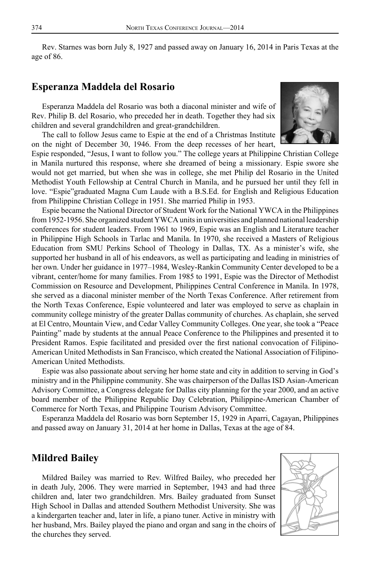Rev. Starnes was born July 8, 1927 and passed away on January 16, 2014 in Paris Texas at the age of 86.

### **Esperanza Maddela del Rosario**

Esperanza Maddela del Rosario was both a diaconal minister and wife of Rev. Philip B. del Rosario, who preceded her in death. Together they had six children and several grandchildren and great-grandchildren.

The call to follow Jesus came to Espie at the end of a Christmas Institute on the night of December 30, 1946. From the deep recesses of her heart,



Espie responded, "Jesus, I want to follow you." The college years at Philippine Christian College in Manila nurtured this response, where she dreamed of being a missionary. Espie swore she would not get married, but when she was in college, she met Philip del Rosario in the United Methodist Youth Fellowship at Central Church in Manila, and he pursued her until they fell in love. "Espie"graduated Magna Cum Laude with a B.S.Ed. for English and Religious Education from Philippine Christian College in 1951. She married Philip in 1953.

Espie became the National Director of Student Work for the National YWCA in the Philippines from 1952-1956. She organized student YWCA units in universities and planned national leadership conferences for student leaders. From 1961 to 1969, Espie was an English and Literature teacher in Philippine High Schools in Tarlac and Manila. In 1970, she received a Masters of Religious Education from SMU Perkins School of Theology in Dallas, TX. As a minister's wife, she supported her husband in all of his endeavors, as well as participating and leading in ministries of her own. Under her guidance in 1977–1984, Wesley-Rankin Community Center developed to be a vibrant, center/home for many families. From 1985 to 1991, Espie was the Director of Methodist Commission on Resource and Development, Philippines Central Conference in Manila. In 1978, she served as a diaconal minister member of the North Texas Conference. After retirement from the North Texas Conference, Espie volunteered and later was employed to serve as chaplain in community college ministry of the greater Dallas community of churches. As chaplain, she served at El Centro, Mountain View, and Cedar Valley Community Colleges. One year, she took a "Peace Painting" made by students at the annual Peace Conference to the Philippines and presented it to President Ramos. Espie facilitated and presided over the first national convocation of Filipino-American United Methodists in San Francisco, which created the National Association of Filipino-American United Methodists.

Espie was also passionate about serving her home state and city in addition to serving in God's ministry and in the Philippine community. She was chairperson of the Dallas ISD Asian-American Advisory Committee, a Congress delegate for Dallas city planning for the year 2000, and an active board member of the Philippine Republic Day Celebration, Philippine-American Chamber of Commerce for North Texas, and Philippine Tourism Advisory Committee.

Esperanza Maddela del Rosario was born September 15, 1929 in Aparri, Cagayan, Philippines and passed away on January 31, 2014 at her home in Dallas, Texas at the age of 84.

## **Mildred Bailey**

Mildred Bailey was married to Rev. Wilfred Bailey, who preceded her in death July, 2006. They were married in September, 1943 and had three children and, later two grandchildren. Mrs. Bailey graduated from Sunset High School in Dallas and attended Southern Methodist University. She was a kindergarten teacher and, later in life, a piano tuner. Active in ministry with her husband, Mrs. Bailey played the piano and organ and sang in the choirs of the churches they served.

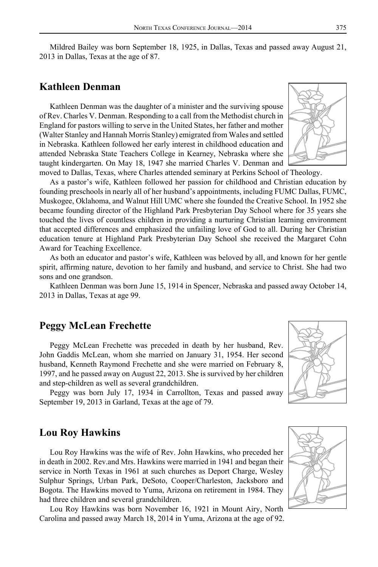Mildred Bailey was born September 18, 1925, in Dallas, Texas and passed away August 21, 2013 in Dallas, Texas at the age of 87.

### **Kathleen Denman**

Kathleen Denman was the daughter of a minister and the surviving spouse of Rev. Charles V. Denman. Responding to a call from the Methodist church in England for pastors willing to serve in the United States, her father and mother (Walter Stanley and Hannah Morris Stanley) emigrated from Wales and settled in Nebraska. Kathleen followed her early interest in childhood education and attended Nebraska State Teachers College in Kearney, Nebraska where she taught kindergarten. On May 18, 1947 she married Charles V. Denman and moved to Dallas, Texas, where Charles attended seminary at Perkins School of Theology.

As a pastor's wife, Kathleen followed her passion for childhood and Christian education by founding preschools in nearly all of her husband's appointments, including FUMC Dallas, FUMC, Muskogee, Oklahoma, and Walnut Hill UMC where she founded the Creative School. In 1952 she became founding director of the Highland Park Presbyterian Day School where for 35 years she touched the lives of countless children in providing a nurturing Christian learning environment that accepted differences and emphasized the unfailing love of God to all. During her Christian education tenure at Highland Park Presbyterian Day School she received the Margaret Cohn Award for Teaching Excellence.

As both an educator and pastor's wife, Kathleen was beloved by all, and known for her gentle spirit, affirming nature, devotion to her family and husband, and service to Christ. She had two sons and one grandson.

Kathleen Denman was born June 15, 1914 in Spencer, Nebraska and passed away October 14, 2013 in Dallas, Texas at age 99.

#### **Peggy McLean Frechette**

Peggy McLean Frechette was preceded in death by her husband, Rev. John Gaddis McLean, whom she married on January 31, 1954. Her second husband, Kenneth Raymond Frechette and she were married on February 8, 1997, and he passed away on August 22, 2013. She is survived by her children and step-children as well as several grandchildren.

Peggy was born July 17, 1934 in Carrollton, Texas and passed away September 19, 2013 in Garland, Texas at the age of 79.

#### **Lou Roy Hawkins**

Lou Roy Hawkins was the wife of Rev. John Hawkins, who preceded her in death in 2002. Rev.and Mrs. Hawkins were married in 1941 and began their service in North Texas in 1961 at such churches as Deport Charge, Wesley Sulphur Springs, Urban Park, DeSoto, Cooper/Charleston, Jacksboro and Bogota. The Hawkins moved to Yuma, Arizona on retirement in 1984. They had three children and several grandchildren.

Lou Roy Hawkins was born November 16, 1921 in Mount Airy, North Carolina and passed away March 18, 2014 in Yuma, Arizona at the age of 92.



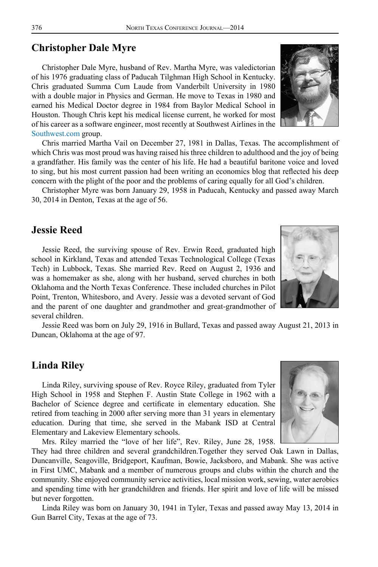## **Christopher Dale Myre**

Christopher Dale Myre, husband of Rev. Martha Myre, was valedictorian of his 1976 graduating class of Paducah Tilghman High School in Kentucky. Chris graduated Summa Cum Laude from Vanderbilt University in 1980 with a double major in Physics and German. He move to Texas in 1980 and earned his Medical Doctor degree in 1984 from Baylor Medical School in Houston. Though Chris kept his medical license current, he worked for most of his career as a software engineer, most recently at Southwest Airlines in the [Southwest.com g](www.southwest.com)roup.

Chris married Martha Vail on December 27, 1981 in Dallas, Texas. The accomplishment of which Chris was most proud was having raised his three children to adulthood and the joy of being a grandfather. His family was the center of his life. He had a beautiful baritone voice and loved to sing, but his most current passion had been writing an economics blog that reflected his deep concern with the plight of the poor and the problems of caring equally for all God's children.

Christopher Myre was born January 29, 1958 in Paducah, Kentucky and passed away March 30, 2014 in Denton, Texas at the age of 56.

## **Jessie Reed**

Jessie Reed, the surviving spouse of Rev. Erwin Reed, graduated high school in Kirkland, Texas and attended Texas Technological College (Texas Tech) in Lubbock, Texas. She married Rev. Reed on August 2, 1936 and was a homemaker as she, along with her husband, served churches in both Oklahoma and the North Texas Conference. These included churches in Pilot Point, Trenton, Whitesboro, and Avery. Jessie was a devoted servant of God and the parent of one daughter and grandmother and great-grandmother of several children.

Jessie Reed was born on July 29, 1916 in Bullard, Texas and passed away August 21, 2013 in Duncan, Oklahoma at the age of 97.

### **Linda Riley**

Linda Riley, surviving spouse of Rev. Royce Riley, graduated from Tyler High School in 1958 and Stephen F. Austin State College in 1962 with a Bachelor of Science degree and certificate in elementary education. She retired from teaching in 2000 after serving more than 31 years in elementary education. During that time, she served in the Mabank ISD at Central Elementary and Lakeview Elementary schools.

Mrs. Riley married the "love of her life", Rev. Riley, June 28, 1958.

They had three children and several grandchildren.Together they served Oak Lawn in Dallas, Duncanville, Seagoville, Bridgeport, Kaufman, Bowie, Jacksboro, and Mabank. She was active in First UMC, Mabank and a member of numerous groups and clubs within the church and the community. She enjoyed community service activities, local mission work, sewing, water aerobics and spending time with her grandchildren and friends. Her spirit and love of life will be missed but never forgotten.

Linda Riley was born on January 30, 1941 in Tyler, Texas and passed away May 13, 2014 in Gun Barrel City, Texas at the age of 73.





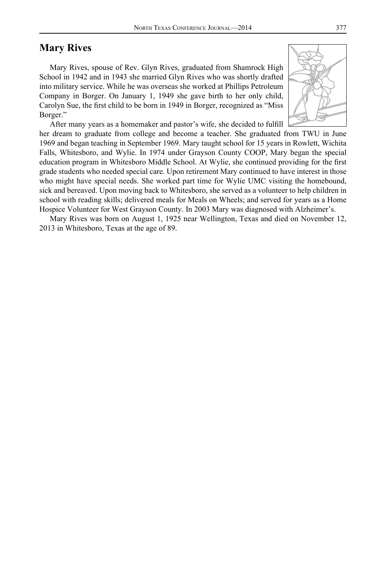## **Mary Rives**

Mary Rives, spouse of Rev. Glyn Rives, graduated from Shamrock High School in 1942 and in 1943 she married Glyn Rives who was shortly drafted into military service. While he was overseas she worked at Phillips Petroleum Company in Borger. On January 1, 1949 she gave birth to her only child, Carolyn Sue, the first child to be born in 1949 in Borger, recognized as "Miss Borger."

After many years as a homemaker and pastor's wife, she decided to fulfill

her dream to graduate from college and become a teacher. She graduated from TWU in June 1969 and began teaching in September 1969. Mary taught school for 15 years in Rowlett, Wichita Falls, Whitesboro, and Wylie. In 1974 under Grayson County COOP, Mary began the special education program in Whitesboro Middle School. At Wylie, she continued providing for the first grade students who needed special care. Upon retirement Mary continued to have interest in those who might have special needs. She worked part time for Wylie UMC visiting the homebound, sick and bereaved. Upon moving back to Whitesboro, she served as a volunteer to help children in school with reading skills; delivered meals for Meals on Wheels; and served for years as a Home Hospice Volunteer for West Grayson County. In 2003 Mary was diagnosed with Alzheimer's.

Mary Rives was born on August 1, 1925 near Wellington, Texas and died on November 12, 2013 in Whitesboro, Texas at the age of 89.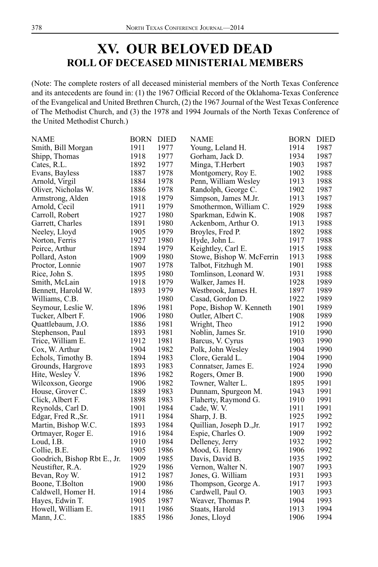## **XV. OUR BELOVED DEAD ROLL OF DECEASED MINISTERIAL MEMBERS**

(Note: The complete rosters of all deceased ministerial members of the North Texas Conference and its antecedents are found in: (1) the 1967 Official Record of the Oklahoma-Texas Conference of the Evangelical and United Brethren Church, (2) the 1967 Journal of the West Texas Conference of The Methodist Church, and (3) the 1978 and 1994 Journals of the North Texas Conference of the United Methodist Church.)

| NAME                         | <b>BORN</b> | <b>DIED</b> | <b>NAME</b>               | <b>BORN</b> | <b>DIED</b> |
|------------------------------|-------------|-------------|---------------------------|-------------|-------------|
| Smith, Bill Morgan           | 1911        | 1977        | Young, Leland H.          | 1914        | 1987        |
| Shipp, Thomas                | 1918        | 1977        | Gorham, Jack D.           | 1934        | 1987        |
| Cates, R.L.                  | 1892        | 1977        | Minga, T.Herbert          | 1903        | 1987        |
| Evans, Bayless               | 1887        | 1978        | Montgomery, Roy E.        | 1902        | 1988        |
| Arnold, Virgil               | 1884        | 1978        | Penn, William Wesley      | 1913        | 1988        |
| Oliver, Nicholas W.          | 1886        | 1978        | Randolph, George C.       | 1902        | 1987        |
| Armstrong, Alden             | 1918        | 1979        | Simpson, James M.Jr.      | 1913        | 1987        |
| Arnold, Cecil                | 1911        | 1979        | Smothermon, William C.    | 1929        | 1988        |
| Carroll, Robert              | 1927        | 1980        | Sparkman, Edwin K.        | 1908        | 1987        |
| Garrett, Charles             | 1891        | 1980        | Ackenbom, Arthur O.       | 1913        | 1988        |
| Neeley, Lloyd                | 1905        | 1979        | Broyles, Fred P.          | 1892        | 1988        |
| Norton, Ferris               | 1927        | 1980        | Hyde, John L.             | 1917        | 1988        |
| Peirce, Arthur               | 1894        | 1979        | Keightley, Carl E.        | 1915        | 1988        |
| Pollard, Aston               | 1909        | 1980        | Stowe, Bishop W. McFerrin | 1913        | 1988        |
| Proctor, Lonnie              | 1907        | 1978        | Talbot, Fitzhugh M.       | 1901        | 1988        |
| Rice, John S.                | 1895        | 1980        | Tomlinson, Leonard W.     | 1931        | 1988        |
| Smith, McLain                | 1918        | 1979        | Walker, James H.          | 1928        | 1989        |
| Bennett, Harold W.           | 1893        | 1979        | Westbrook, James H.       | 1897        | 1989        |
| Williams, C.B.               |             | 1980        | Casad, Gordon D.          | 1922        | 1989        |
| Seymour, Leslie W.           | 1896        | 1981        | Pope, Bishop W. Kenneth   | 1901        | 1989        |
| Tucker, Albert F.            | 1906        | 1980        | Outler, Albert C.         | 1908        | 1989        |
| Quattlebaum, J.O.            | 1886        | 1981        | Wright, Theo              | 1912        | 1990        |
| Stephenson, Paul             | 1893        | 1981        | Noblin, James Sr.         | 1910        | 1990        |
| Trice, William E.            | 1912        | 1981        | Barcus, V. Cyrus          | 1903        | 1990        |
| Cox, W. Arthur               | 1904        | 1982        | Polk, John Wesley         | 1904        | 1990        |
| Echols, Timothy B.           | 1894        | 1983        | Clore, Gerald L.          | 1904        | 1990        |
| Grounds, Hargrove            | 1893        | 1983        | Connatser, James E.       | 1924        | 1990        |
| Hite, Wesley V.              | 1896        | 1982        | Rogers, Omer B.           | 1900        | 1990        |
| Wilcoxson, George            | 1906        | 1982        | Towner, Walter L.         | 1895        | 1991        |
| House, Grover C.             | 1889        | 1983        | Dunnam, Spurgeon M.       | 1943        | 1991        |
| Click, Albert F.             | 1898        | 1983        | Flaherty, Raymond G.      | 1910        | 1991        |
| Reynolds, Carl D.            | 1901        | 1984        | Cade, W.V.                | 1911        | 1991        |
| Edgar, Fred R., Sr.          | 1911        | 1984        | Sharp, J. B.              | 1925        | 1992        |
| Martin, Bishop W.C.          | 1893        | 1984        | Quillian, Joseph D., Jr.  | 1917        | 1992        |
| Ortmayer, Roger E.           | 1916        | 1984        | Espie, Charles O.         | 1909        | 1992        |
| Loud, I.B.                   | 1910        | 1984        | Delleney, Jerry           | 1932        | 1992        |
| Collie, B.E.                 | 1905        | 1986        | Mood, G. Henry            | 1906        | 1992        |
| Goodrich, Bishop Rbt E., Jr. | 1909        | 1985        | Davis, David B.           | 1935        | 1992        |
| Neustifter, R.A.             | 1929        | 1986        | Vernon, Walter N.         | 1907        | 1993        |
| Bevan, Roy W.                | 1912        | 1987        | Jones, G. William         | 1931        | 1993        |
| Boone, T.Bolton              | 1900        | 1986        | Thompson, George A.       | 1917        | 1993        |
| Caldwell, Homer H.           | 1914        | 1986        | Cardwell, Paul O.         | 1903        | 1993        |
| Hayes, Edwin T.              | 1905        | 1987        | Weaver, Thomas P.         | 1904        | 1993        |
| Howell, William E.           | 1911        | 1986        | Staats, Harold            | 1913        | 1994        |
| Mann, J.C.                   | 1885        | 1986        | Jones, Lloyd              | 1906        | 1994        |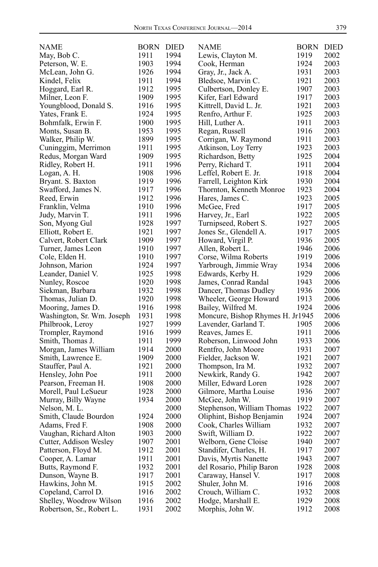| <b>NAME</b>                | BORN DIED |      | NAME                             | <b>BORN</b> | DIED |
|----------------------------|-----------|------|----------------------------------|-------------|------|
| May, Bob C.                | 1911      | 1994 | Lewis, Clayton M.                | 1919        | 2002 |
| Peterson, W. E.            | 1903      | 1994 | Cook, Herman                     | 1924        | 2003 |
| McLean, John G.            | 1926      | 1994 | Gray, Jr., Jack A.               | 1931        | 2003 |
| Kindel, Felix              | 1911      | 1994 | Bledsoe, Marvin C.               | 1921        | 2003 |
| Hoggard, Earl R.           | 1912      | 1995 | Culbertson, Donley E.            | 1907        | 2003 |
| Milner, Leon F.            | 1909      | 1995 | Kifer, Earl Edward               | 1917        | 2003 |
| Youngblood, Donald S.      | 1916      | 1995 | Kittrell, David L. Jr.           | 1921        | 2003 |
| Yates, Frank E.            | 1924      | 1995 | Renfro, Arthur F.                | 1925        | 2003 |
| Bohmfalk, Erwin F.         | 1900      | 1995 | Hill, Luther A.                  | 1911        | 2003 |
| Monts, Susan B.            | 1953      | 1995 | Regan, Russell                   | 1916        | 2003 |
| Walker, Philip W.          | 1899      | 1995 | Corrigan, W. Raymond             | 1911        | 2003 |
| Cuninggim, Merrimon        | 1911      | 1995 | Atkinson, Loy Terry              | 1923        | 2003 |
| Redus, Morgan Ward         | 1909      | 1995 | Richardson, Betty                | 1925        | 2004 |
| Ridley, Robert H.          | 1911      | 1996 | Perry, Richard T.                | 1911        | 2004 |
| Logan, A. H.               | 1908      | 1996 | Leffel, Robert E. Jr.            | 1918        | 2004 |
| Bryant. S. Baxton          | 1919      | 1996 | Farrell, Leighton Kirk           | 1930        | 2004 |
| Swafford, James N.         | 1917      | 1996 | Thornton, Kenneth Monroe         | 1923        | 2004 |
| Reed, Erwin                | 1912      | 1996 | Hares, James C.                  | 1923        | 2005 |
| Franklin, Velma            | 1910      | 1996 | McGee, Fred                      | 1917        | 2005 |
| Judy, Marvin T.            | 1911      | 1996 | Harvey, Jr., Earl                | 1922        | 2005 |
| Son, Myong Gul             | 1928      | 1997 | Turnipseed, Robert S.            | 1927        | 2005 |
| Elliott, Robert E.         | 1921      | 1997 | Jones Sr., Glendell A.           | 1917        | 2005 |
| Calvert, Robert Clark      | 1909      | 1997 | Howard, Virgil P.                | 1936        | 2005 |
| Turner, James Leon         | 1910      | 1997 | Allen, Robert L.                 | 1946        | 2006 |
| Cole, Elden H.             | 1910      | 1997 | Corse, Wilma Roberts             | 1919        | 2006 |
|                            | 1924      | 1997 | Yarbrough, Jimmie Wray           | 1934        | 2006 |
| Johnson, Marion            | 1925      | 1998 |                                  | 1929        | 2006 |
| Leander, Daniel V.         |           |      | Edwards, Kerby H.                |             |      |
| Nunley, Roscoe             | 1920      | 1998 | James, Conrad Randal             | 1943        | 2006 |
| Siekman, Barbara           | 1932      | 1998 | Dancer, Thomas Dudley            | 1936        | 2006 |
| Thomas, Julian D.          | 1920      | 1998 | Wheeler, George Howard           | 1913        | 2006 |
| Mooring, James D.          | 1916      | 1998 | Bailey, Wilfred M.               | 1924        | 2006 |
| Washington, Sr. Wm. Joseph | 1931      | 1998 | Moncure, Bishop Rhymes H. Jr1945 |             | 2006 |
| Philbrook, Leroy           | 1927      | 1999 | Lavender, Garland T.             | 1905        | 2006 |
| Trompler, Raymond          | 1916      | 1999 | Reaves, James E.                 | 1911        | 2006 |
| Smith, Thomas J.           | 1911      | 1999 | Roberson, Linwood John           | 1933        | 2006 |
| Morgan, James William      | 1914      | 2000 | Rentfro, John Moore              | 1931        | 2007 |
| Smith, Lawrence E.         | 1909      | 2000 | Fielder, Jackson W.              | 1921        | 2007 |
| Stauffer, Paul A.          | 1921      | 2000 | Thompson, Ira M.                 | 1932        | 2007 |
| Hensley, John Poe          | 1911      | 2000 | Newkirk, Randy G.                | 1942        | 2007 |
| Pearson, Freeman H.        | 1908      | 2000 | Miller, Edward Loren             | 1928        | 2007 |
| Morell, Paul LeSueur       | 1928      | 2000 | Gilmore, Martha Louise           | 1936        | 2007 |
| Murray, Billy Wayne        | 1934      | 2000 | McGee, John W.                   | 1919        | 2007 |
| Nelson, M. L.              |           | 2000 | Stephenson, William Thomas       | 1922        | 2007 |
| Smith, Claude Bourdon      | 1924      | 2000 | Oliphint, Bishop Benjamin        | 1924        | 2007 |
| Adams, Fred F.             | 1908      | 2000 | Cook, Charles William            | 1932        | 2007 |
| Vaughan, Richard Alton     | 1903      | 2000 | Swift, William D.                | 1922        | 2007 |
| Cutter, Addison Wesley     | 1907      | 2001 | Welborn, Gene Cloise             | 1940        | 2007 |
| Patterson, Floyd M.        | 1912      | 2001 | Standifer, Charles, H.           | 1917        | 2007 |
| Cooper, A. Lamar           | 1911      | 2001 | Davis, Myrtis Nanette            | 1943        | 2007 |
| Butts, Raymond F.          | 1932      | 2001 | del Rosario, Philip Baron        | 1928        | 2008 |
| Dunson, Wayne B.           | 1917      | 2001 | Caraway, Hansel V.               | 1917        | 2008 |
| Hawkins, John M.           | 1915      | 2002 | Shuler, John M.                  | 1916        | 2008 |
| Copeland, Carrol D.        | 1916      | 2002 | Crouch, William C.               | 1932        | 2008 |
| Shelley, Woodrow Wilson    | 1916      | 2002 | Hodge, Marshall E.               | 1929        | 2008 |
| Robertson, Sr., Robert L.  | 1931      | 2002 | Morphis, John W.                 | 1912        | 2008 |
|                            |           |      |                                  |             |      |